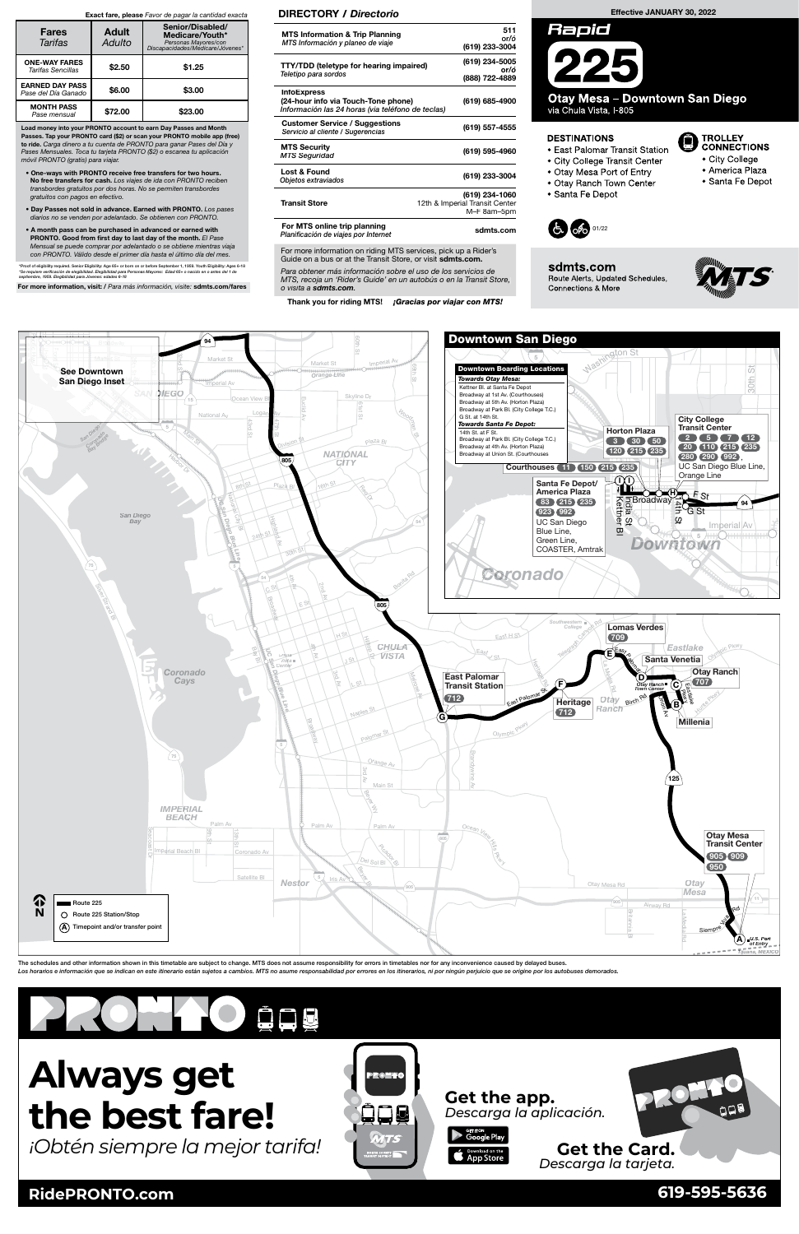

**RidePRONTO.com 619-595-5636**

# **Always get the best fare!**

*¡Obtén siempre la mejor tarifa!*

| $-$<br>N | Route 225 Station/Stop<br>$\lambda$ ) Timepoint and/or transfer point<br>(A) |  | I VI VY LLY<br>$A \alpha \Delta$<br><b>SILLER</b><br>Siempre |
|----------|------------------------------------------------------------------------------|--|--------------------------------------------------------------|
|          |                                                                              |  | $1$ U.S. Port<br>of Entry                                    |

The schedules and other information shown in this timetable are subject to change. MTS does not assume responsibility for errors in timetables nor for any inconvenience caused by delayed buses. Los horarios e información que se indican en este itinerario están sujetos a cambios. MTS no asume responsabilidad por errores en los itinerarios, ni por ningún perjuicio que se origine por los autobuses demorados







TROLLEY<br>CONNECTIONS

• America Plaza

· Santa Fe Depot

• City College

 $\boxdot$ 



sdmts.com Route Alerts, Updated Schedules, Connections & More

## Effective JANUARY 30, 2022



Otay Mesa - Downtown San Diego via Chula Vista, I-805

#### **DESTINATIONS**

- East Palomar Transit Station
- City College Transit Center
- Otay Mesa Port of Entry
- · Otay Ranch Town Center
- · Santa Fe Depot

For more information on riding MTS services, pick up a Rider's Guide on a bus or at the Transit Store, or visit sdmts.com.

Para obtener más información sobre el uso de los servicios de MTS, recoja un 'Rider's Guide' en un autobús o en la Transit Store, o visita a sdmts.com.

Thank you for riding MTS! *¡Gracias por viajar con MTS!* 

#### DIRECTORY / Directorio

| <b>MTS Information &amp; Trip Planning</b><br>MTS Información y planeo de viaje                                | 511<br>or/ó<br>(619) 233-3004                                   |
|----------------------------------------------------------------------------------------------------------------|-----------------------------------------------------------------|
| <b>TTY/TDD</b> (teletype for hearing impaired)<br>Teletipo para sordos                                         | (619) 234-5005<br>or/ó<br>(888) 722-4889                        |
| <b>InfoExpress</b><br>(24-hour info via Touch-Tone phone)<br>Información las 24 horas (via teléfono de teclas) | (619) 685-4900                                                  |
| <b>Customer Service / Suggestions</b><br>Servicio al cliente / Sugerencias                                     | (619) 557-4555                                                  |
| <b>MTS Security</b><br><b>MTS Seguridad</b>                                                                    | (619) 595-4960                                                  |
| Lost & Found<br>Objetos extraviados                                                                            | (619) 233-3004                                                  |
| <b>Transit Store</b>                                                                                           | (619) 234-1060<br>12th & Imperial Transit Center<br>M-F 8am-5pm |
| For MTS online trip planning                                                                                   | odmto oom                                                       |

Planificación de viajes por Internet<br>Planificación de viajes por Internet

Load money into your PRONTO account to earn Day Passes and Month Passes. Tap your PRONTO card (\$2) or scan your PRONTO mobile app (free) to ride. Carga dinero a tu cuenta de PRONTO para ganar Pases del Día y Pases Mensuales. Toca tu tarjeta PRONTO (\$2) o escanea tu aplicación móvil PRONTO (gratis) para viajar.

- One-ways with PRONTO receive free transfers for two hours. No free transfers for cash. Los viajes de ida con PRONTO reciben transbordes gratuitos por dos horas. No se permiten transbordes gratuitos con pagos en efectivo.
- Day Passes not sold in advance. Earned with PRONTO. Los pases diarios no se venden por adelantado. Se obtienen con PRONTO.
- A month pass can be purchased in advanced or earned with PRONTO. Good from first day to last day of the month. El Pase Mensual se puede comprar por adelantado o se obtiene mientras viaja con PRONTO. Válido desde el primer día hasta el último día del mes.

\*Proof of eligibility required. Senior Eligibility: Age 65+ or born on or before September 1, 1959. Youth Eligibility: Ages 6-18<br>\*Se requiere verificación de elegibilidad. Elegibilidad para Personas Mayores: Edad 65+ o nac nere vermeación de elegibilidad. Elegibilidad para<br>Ibre, 1959. Elegibilidad para Jóvenes: edades 6-18

For more information, visit: / Para más información, visite: sdmts.com/fares

#### Exact fare, please Favor de pagar la cantidad exacta

| <b>Fares</b><br>Tarifas                          | <b>Adult</b><br>Adulto | Senior/Disabled/<br>Medicare/Youth*<br>Personas Mayores/con<br>Discapacidades/Medicare/Jóvenes* |  |  |  |  |  |
|--------------------------------------------------|------------------------|-------------------------------------------------------------------------------------------------|--|--|--|--|--|
| <b>ONE-WAY FARES</b><br><b>Tarifas Sencillas</b> | \$2.50                 | \$1.25                                                                                          |  |  |  |  |  |
| <b>EARNED DAY PASS</b><br>Pase del Día Ganado    | \$6.00                 | \$3.00                                                                                          |  |  |  |  |  |
| <b>MONTH PASS</b><br>Pase mensual                | \$72.00                | \$23.00                                                                                         |  |  |  |  |  |